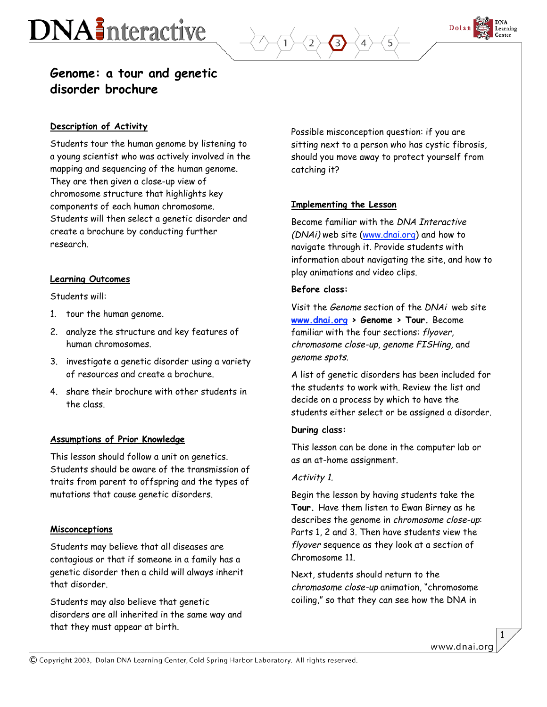# **DNA** Interactive



## **Genome: a tour and genetic disorder brochure**

## **Description of Activity**

Students tour the human genome by listening to a young scientist who was actively involved in the mapping and sequencing of the human genome. They are then given a close-up view of chromosome structure that highlights key components of each human chromosome. Students will then select a genetic disorder and create a brochure by conducting further research.

### **Learning Outcomes**

Students will:

- 1. tour the human genome.
- 2. analyze the structure and key features of human chromosomes.
- 3. investigate a genetic disorder using a variety of resources and create a brochure.
- 4. share their brochure with other students in the class.

### **Assumptions of Prior Knowledge**

This lesson should follow a unit on genetics. Students should be aware of the transmission of traits from parent to offspring and the types of mutations that cause genetic disorders.

#### **Misconceptions**

Students may believe that all diseases are contagious or that if someone in a family has a genetic disorder then a child will always inherit that disorder.

Students may also believe that genetic disorders are all inherited in the same way and that they must appear at birth.

Possible misconception question: if you are sitting next to a person who has cystic fibrosis, should you move away to protect yourself from catching it?

## **Implementing the Lesson**

Become familiar with the DNA Interactive (DNAi) web site (www.dnai.org) and how to navigate through it. Provide students with information about navigating the site, and how to play animations and video clips.

#### **Before class:**

Visit the Genome section of the DNAi web site **www.dnai.org > Genome > Tour.** Become familiar with the four sections: flyover, chromosome close-up, genome FISHing, and genome spots.

A list of genetic disorders has been included for the students to work with. Review the list and decide on a process by which to have the students either select or be assigned a disorder.

#### **During class:**

This lesson can be done in the computer lab or as an at-home assignment.

#### Activity 1.

Begin the lesson by having students take the **Tour.** Have them listen to Ewan Birney as he describes the genome in chromosome close-up: Parts 1, 2 and 3. Then have students view the flyover sequence as they look at a section of Chromosome 11.

Next, students should return to the chromosome close-up animation, "chromosome coiling," so that they can see how the DNA in

1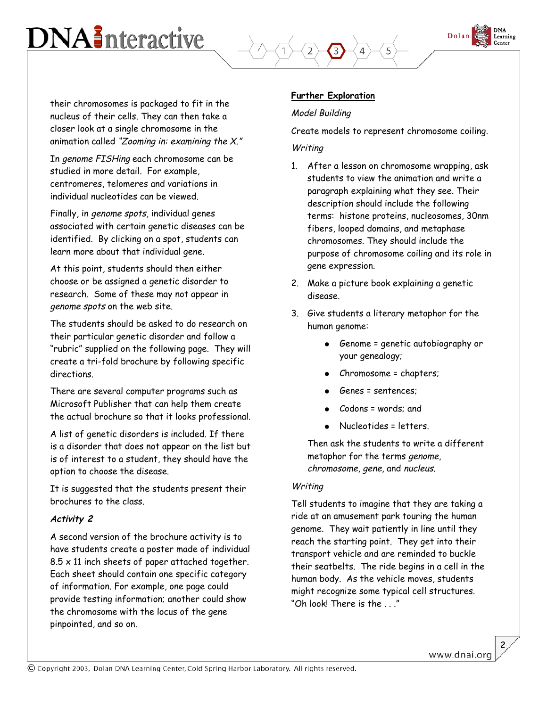## **DNA** Interactive



their chromosomes is packaged to fit in the nucleus of their cells. They can then take a closer look at a single chromosome in the animation called "Zooming in: examining the X."

In genome FISHing each chromosome can be studied in more detail. For example, centromeres, telomeres and variations in individual nucleotides can be viewed.

Finally, in genome spots, individual genes associated with certain genetic diseases can be identified. By clicking on a spot, students can learn more about that individual gene.

At this point, students should then either choose or be assigned a genetic disorder to research. Some of these may not appear in genome spots on the web site.

The students should be asked to do research on their particular genetic disorder and follow a "rubric" supplied on the following page. They will create a tri-fold brochure by following specific directions.

There are several computer programs such as Microsoft Publisher that can help them create the actual brochure so that it looks professional.

A list of genetic disorders is included. If there is a disorder that does not appear on the list but is of interest to a student, they should have the option to choose the disease.

It is suggested that the students present their brochures to the class.

## **Activity 2**

A second version of the brochure activity is to have students create a poster made of individual  $8.5 \times 11$  inch sheets of paper attached together. Each sheet should contain one specific category of information. For example, one page could provide testing information; another could show the chromosome with the locus of the gene pinpointed, and so on.

## **Further Exploration**

## Model Building

Create models to represent chromosome coiling.

## **Writing**

- 1. After a lesson on chromosome wrapping, ask students to view the animation and write a paragraph explaining what they see. Their description should include the following terms: histone proteins, nucleosomes, 30nm fibers, looped domains, and metaphase chromosomes. They should include the purpose of chromosome coiling and its role in gene expression.
- 2. Make a picture book explaining a genetic disease.
- 3. Give students a literary metaphor for the human genome:
	- Genome = genetic autobiography or your genealogy;
	- Chromosome = chapters;
	- Genes = sentences:
	- $\text{Codons} =$  words; and
	- Nucleotides = letters.

Then ask the students to write a different metaphor for the terms genome, chromosome, gene, and nucleus.

### Writing

Tell students to imagine that they are taking a ride at an amusement park touring the human genome. They wait patiently in line until they reach the starting point. They get into their transport vehicle and are reminded to buckle their seatbelts. The ride begins in a cell in the human body. As the vehicle moves, students might recognize some typical cell structures. "Oh look! There is the . . ."

2